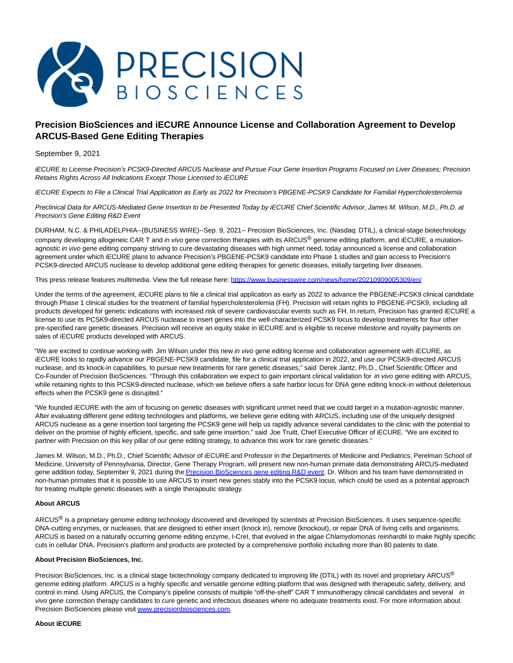

# **Precision BioSciences and iECURE Announce License and Collaboration Agreement to Develop ARCUS-Based Gene Editing Therapies**

September 9, 2021

iECURE to License Precision's PCSK9-Directed ARCUS Nuclease and Pursue Four Gene Insertion Programs Focused on Liver Diseases; Precision Retains Rights Across All Indications Except Those Licensed to iECURE

iECURE Expects to File a Clinical Trial Application as Early as 2022 for Precision's PBGENE-PCSK9 Candidate for Familial Hypercholesterolemia

Preclinical Data for ARCUS-Mediated Gene Insertion to be Presented Today by iECURE Chief Scientific Advisor, James M. Wilson, M.D., Ph.D. at Precision's Gene Editing R&D Event

DURHAM, N.C. & PHILADELPHIA--(BUSINESS WIRE)--Sep. 9, 2021-- Precision BioSciences, Inc. (Nasdaq: DTIL), a clinical-stage biotechnology company developing allogeneic CAR T and in vivo gene correction therapies with its ARCUS® genome editing platform, and iECURE, a mutationagnostic in vivo gene editing company striving to cure devastating diseases with high unmet need, today announced a license and collaboration agreement under which iECURE plans to advance Precision's PBGENE-PCSK9 candidate into Phase 1 studies and gain access to Precision's PCSK9-directed ARCUS nuclease to develop additional gene editing therapies for genetic diseases, initially targeting liver diseases.

This press release features multimedia. View the full release here:<https://www.businesswire.com/news/home/20210909005309/en/>

Under the terms of the agreement, iECURE plans to file a clinical trial application as early as 2022 to advance the PBGENE-PCSK9 clinical candidate through Phase 1 clinical studies for the treatment of familial hypercholesterolemia (FH). Precision will retain rights to PBGENE-PCSK9, including all products developed for genetic indications with increased risk of severe cardiovascular events such as FH. In return, Precision has granted iECURE a license to use its PCSK9-directed ARCUS nuclease to insert genes into the well-characterized PCSK9 locus to develop treatments for four other pre-specified rare genetic diseases. Precision will receive an equity stake in iECURE and is eligible to receive milestone and royalty payments on sales of iECURE products developed with ARCUS.

"We are excited to continue working with Jim Wilson under this new in vivo gene editing license and collaboration agreement with iECURE, as iECURE looks to rapidly advance our PBGENE-PCSK9 candidate, file for a clinical trial application in 2022, and use our PCSK9-directed ARCUS nuclease, and its knock-in capabilities, to pursue new treatments for rare genetic diseases," said Derek Jantz, Ph.D., Chief Scientific Officer and Co-Founder of Precision BioSciences. "Through this collaboration we expect to gain important clinical validation for *in vivo* gene editing with ARCUS, while retaining rights to this PCSK9-directed nuclease, which we believe offers a safe harbor locus for DNA gene editing knock-in without deleterious effects when the PCSK9 gene is disrupted."

"We founded iECURE with the aim of focusing on genetic diseases with significant unmet need that we could target in a mutation-agnostic manner. After evaluating different gene editing technologies and platforms, we believe gene editing with ARCUS, including use of the uniquely designed ARCUS nuclease as a gene insertion tool targeting the PCSK9 gene will help us rapidly advance several candidates to the clinic with the potential to deliver on the promise of highly efficient, specific, and safe gene insertion," said Joe Truitt, Chief Executive Officer of iECURE. "We are excited to partner with Precision on this key pillar of our gene editing strategy, to advance this work for rare genetic diseases."

James M. Wilson, M.D., Ph.D., Chief Scientific Advisor of iECURE and Professor in the Departments of Medicine and Pediatrics, Perelman School of Medicine, University of Pennsylvania, Director, Gene Therapy Program, will present new non-human primate data demonstrating ARCUS-mediated gene addition today, September 9, 2021 during th[e Precision BioSciences gene editing R&D event.](https://cts.businesswire.com/ct/CT?id=smartlink&url=https%3A%2F%2Finvestor.precisionbiosciences.com%2Fevents%2Fevent-details%2Fvivo-gene-editing-event&esheet=52488625&newsitemid=20210909005309&lan=en-US&anchor=Precision+BioSciences+gene+editing+R%26amp%3BD+event&index=1&md5=bfc9744608bc19271c0623bb9b1d6373) Dr. Wilson and his team have demonstrated in non-human primates that it is possible to use ARCUS to insert new genes stably into the PCSK9 locus, which could be used as a potential approach for treating multiple genetic diseases with a single therapeutic strategy.

## **About ARCUS**

ARCUS<sup>®</sup> is a proprietary genome editing technology discovered and developed by scientists at Precision BioSciences. It uses sequence-specific DNA-cutting enzymes, or nucleases, that are designed to either insert (knock in), remove (knockout), or repair DNA of living cells and organisms. ARCUS is based on a naturally occurring genome editing enzyme, I-CreI, that evolved in the algae Chlamydomonas reinhardtii to make highly specific cuts in cellular DNA. Precision's platform and products are protected by a comprehensive portfolio including more than 80 patents to date.

## **About Precision BioSciences, Inc.**

Precision BioSciences, Inc. is a clinical stage biotechnology company dedicated to improving life (DTIL) with its novel and proprietary ARCUS® genome editing platform. ARCUS is a highly specific and versatile genome editing platform that was designed with therapeutic safety, delivery, and control in mind. Using ARCUS, the Company's pipeline consists of multiple "off-the-shelf" CAR T immunotherapy clinical candidates and several in vivo gene correction therapy candidates to cure genetic and infectious diseases where no adequate treatments exist. For more information about Precision BioSciences please visi[t www.precisionbiosciences.com.](https://cts.businesswire.com/ct/CT?id=smartlink&url=http%3A%2F%2Fwww.precisionbiosciences.com&esheet=52488625&newsitemid=20210909005309&lan=en-US&anchor=www.precisionbiosciences.com&index=2&md5=e66643e4671f3b1971d71dfdb3b200d5)

#### **About iECURE**